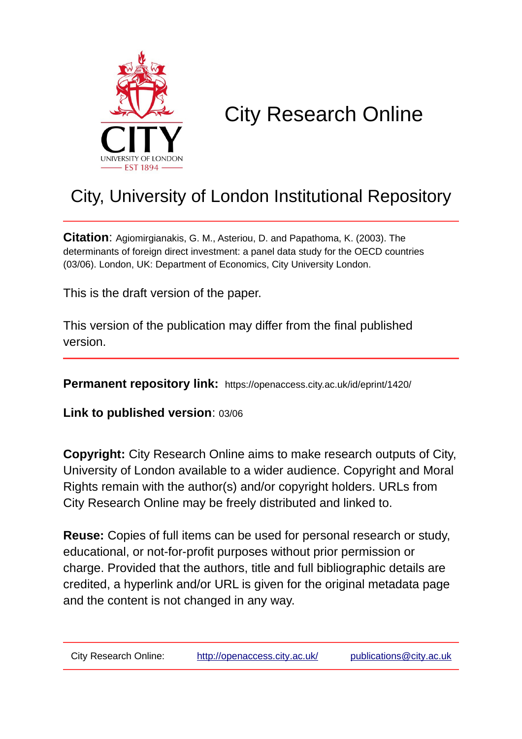

# City Research Online

## City, University of London Institutional Repository

**Citation**: Agiomirgianakis, G. M., Asteriou, D. and Papathoma, K. (2003). The determinants of foreign direct investment: a panel data study for the OECD countries (03/06). London, UK: Department of Economics, City University London.

This is the draft version of the paper.

This version of the publication may differ from the final published version.

**Permanent repository link:** https://openaccess.city.ac.uk/id/eprint/1420/

**Link to published version**: 03/06

**Copyright:** City Research Online aims to make research outputs of City, University of London available to a wider audience. Copyright and Moral Rights remain with the author(s) and/or copyright holders. URLs from City Research Online may be freely distributed and linked to.

**Reuse:** Copies of full items can be used for personal research or study, educational, or not-for-profit purposes without prior permission or charge. Provided that the authors, title and full bibliographic details are credited, a hyperlink and/or URL is given for the original metadata page and the content is not changed in any way.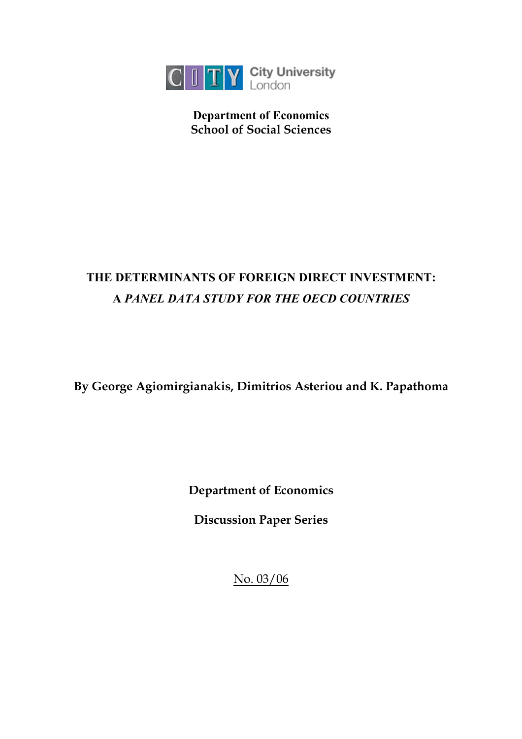

**Department of Economics School of Social Sciences** 

### **THE DETERMINANTS OF FOREIGN DIRECT INVESTMENT: A** *PANEL DATA STUDY FOR THE OECD COUNTRIES*

**By George Agiomirgianakis, Dimitrios Asteriou and K. Papathoma** 

**Department of Economics** 

**Discussion Paper Series** 

No. 03/06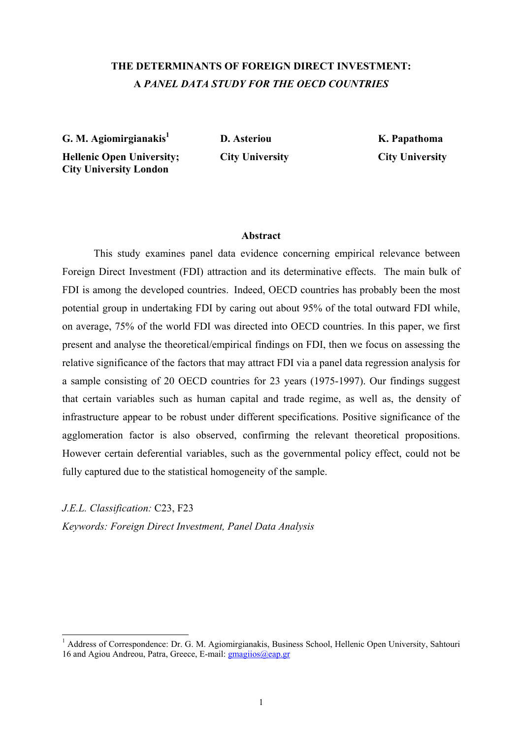### **THE DETERMINANTS OF FOREIGN DIRECT INVESTMENT: A** *PANEL DATA STUDY FOR THE OECD COUNTRIES*

**G. M. Agiomirgianakis[1](#page-2-0) D. Asteriou K. Papathoma** 

**Hellenic Open University; City University City University City University London** 

#### **Abstract**

This study examines panel data evidence concerning empirical relevance between Foreign Direct Investment (FDI) attraction and its determinative effects. The main bulk of FDI is among the developed countries. Indeed, OECD countries has probably been the most potential group in undertaking FDI by caring out about 95% of the total outward FDI while, on average, 75% of the world FDI was directed into OECD countries. In this paper, we first present and analyse the theoretical/empirical findings on FDI, then we focus on assessing the relative significance of the factors that may attract FDI via a panel data regression analysis for a sample consisting of 20 OECD countries for 23 years (1975-1997). Our findings suggest that certain variables such as human capital and trade regime, as well as, the density of infrastructure appear to be robust under different specifications. Positive significance of the agglomeration factor is also observed, confirming the relevant theoretical propositions. However certain deferential variables, such as the governmental policy effect, could not be fully captured due to the statistical homogeneity of the sample.

*J.E.L. Classification:* C23, F23

*Keywords: Foreign Direct Investment, Panel Data Analysis*

<span id="page-2-0"></span><sup>|&</sup>lt;br>|<br>| <sup>1</sup> Address of Correspondence: Dr. G. M. Agiomirgianakis, Business School, Hellenic Open University, Sahtouri 16 and Agiou Andreou, Patra, Greece, E-mail: [gmagiios@eap.gr](mailto:gmagiios@eap.gr)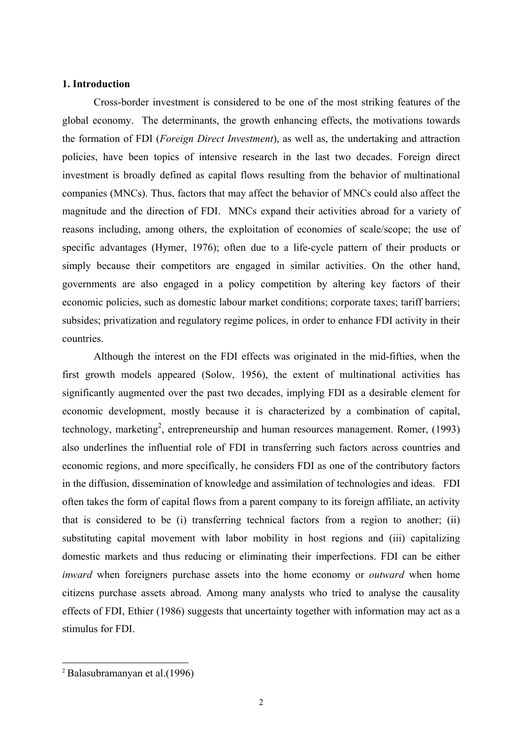#### **1. Introduction**

Cross-border investment is considered to be one of the most striking features of the global economy. The determinants, the growth enhancing effects, the motivations towards the formation of FDI (*Foreign Direct Investment*), as well as, the undertaking and attraction policies, have been topics of intensive research in the last two decades. Foreign direct investment is broadly defined as capital flows resulting from the behavior of multinational companies (MNCs). Thus, factors that may affect the behavior of MNCs could also affect the magnitude and the direction of FDI. MNCs expand their activities abroad for a variety of reasons including, among others, the exploitation of economies of scale/scope; the use of specific advantages (Hymer, 1976); often due to a life-cycle pattern of their products or simply because their competitors are engaged in similar activities. On the other hand, governments are also engaged in a policy competition by altering key factors of their economic policies, such as domestic labour market conditions; corporate taxes; tariff barriers; subsides; privatization and regulatory regime polices, in order to enhance FDI activity in their countries.

Although the interest on the FDI effects was originated in the mid-fifties, when the first growth models appeared (Solow, 1956), the extent of multinational activities has significantly augmented over the past two decades, implying FDI as a desirable element for economic development, mostly because it is characterized by a combination of capital, technology, marketing<sup>[2](#page-3-0)</sup>, entrepreneurship and human resources management. Romer,  $(1993)$ also underlines the influential role of FDI in transferring such factors across countries and economic regions, and more specifically, he considers FDI as one of the contributory factors in the diffusion, dissemination of knowledge and assimilation of technologies and ideas. FDI often takes the form of capital flows from a parent company to its foreign affiliate, an activity that is considered to be (i) transferring technical factors from a region to another; (ii) substituting capital movement with labor mobility in host regions and (iii) capitalizing domestic markets and thus reducing or eliminating their imperfections. FDI can be either *inward* when foreigners purchase assets into the home economy or *outward* when home citizens purchase assets abroad. Among many analysts who tried to analyse the causality effects of FDI, Ethier (1986) suggests that uncertainty together with information may act as a stimulus for FDI.

<span id="page-3-0"></span> <sup>2</sup> Balasubramanyan et al.(1996)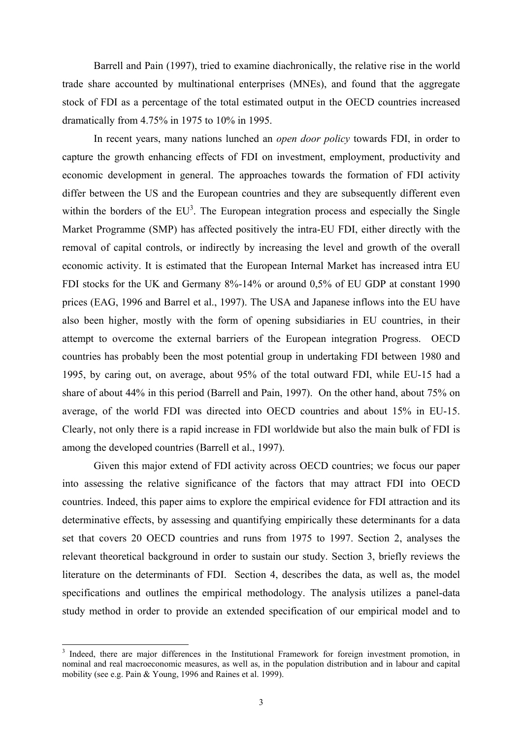Barrell and Pain (1997), tried to examine diachronically, the relative rise in the world trade share accounted by multinational enterprises (MNEs), and found that the aggregate stock of FDI as a percentage of the total estimated output in the OECD countries increased dramatically from 4.75% in 1975 to 10% in 1995.

In recent years, many nations lunched an *open door policy* towards FDI, in order to capture the growth enhancing effects of FDI on investment, employment, productivity and economic development in general. The approaches towards the formation of FDI activity differ between the US and the European countries and they are subsequently different even within the borders of the  $EU^3$  $EU^3$ . The European integration process and especially the Single Market Programme (SMP) has affected positively the intra-EU FDI, either directly with the removal of capital controls, or indirectly by increasing the level and growth of the overall economic activity. It is estimated that the European Internal Market has increased intra EU FDI stocks for the UK and Germany 8%-14% or around 0,5% of EU GDP at constant 1990 prices (EAG, 1996 and Barrel et al., 1997). The USA and Japanese inflows into the EU have also been higher, mostly with the form of opening subsidiaries in EU countries, in their attempt to overcome the external barriers of the European integration Progress. OECD countries has probably been the most potential group in undertaking FDI between 1980 and 1995, by caring out, on average, about 95% of the total outward FDI, while EU-15 had a share of about 44% in this period (Barrell and Pain, 1997). On the other hand, about 75% on average, of the world FDI was directed into OECD countries and about 15% in EU-15. Clearly, not only there is a rapid increase in FDI worldwide but also the main bulk of FDI is among the developed countries (Barrell et al., 1997).

Given this major extend of FDI activity across OECD countries; we focus our paper into assessing the relative significance of the factors that may attract FDI into OECD countries. Indeed, this paper aims to explore the empirical evidence for FDI attraction and its determinative effects, by assessing and quantifying empirically these determinants for a data set that covers 20 OECD countries and runs from 1975 to 1997. Section 2, analyses the relevant theoretical background in order to sustain our study. Section 3, briefly reviews the literature on the determinants of FDI. Section 4, describes the data, as well as, the model specifications and outlines the empirical methodology. The analysis utilizes a panel-data study method in order to provide an extended specification of our empirical model and to

<span id="page-4-0"></span> <sup>3</sup> <sup>3</sup> Indeed, there are major differences in the Institutional Framework for foreign investment promotion, in nominal and real macroeconomic measures, as well as, in the population distribution and in labour and capital mobility (see e.g. Pain & Young, 1996 and Raines et al. 1999).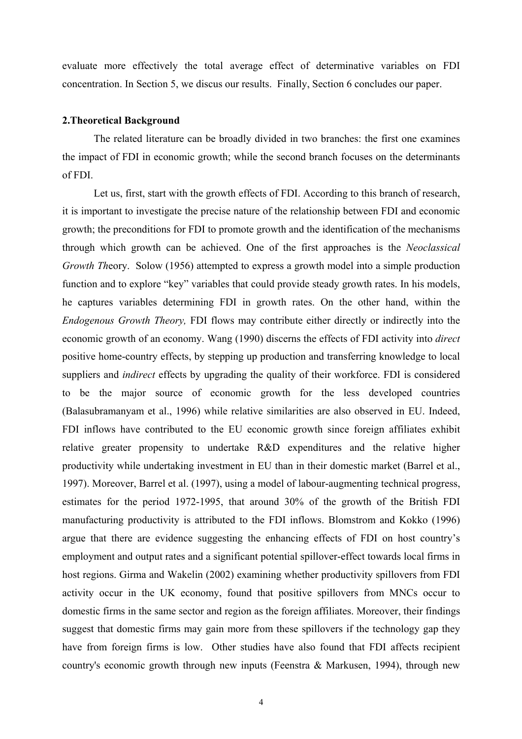evaluate more effectively the total average effect of determinative variables on FDI concentration. In Section 5, we discus our results. Finally, Section 6 concludes our paper.

#### **2.Theoretical Background**

The related literature can be broadly divided in two branches: the first one examines the impact of FDI in economic growth; while the second branch focuses on the determinants of FDI.

Let us, first, start with the growth effects of FDI. According to this branch of research, it is important to investigate the precise nature of the relationship between FDI and economic growth; the preconditions for FDI to promote growth and the identification of the mechanisms through which growth can be achieved. One of the first approaches is the *Neoclassical Growth Th*eory. Solow (1956) attempted to express a growth model into a simple production function and to explore "key" variables that could provide steady growth rates. In his models, he captures variables determining FDI in growth rates. On the other hand, within the *Endogenous Growth Theory,* FDI flows may contribute either directly or indirectly into the economic growth of an economy. Wang (1990) discerns the effects of FDI activity into *direct* positive home-country effects, by stepping up production and transferring knowledge to local suppliers and *indirect* effects by upgrading the quality of their workforce. FDI is considered to be the major source of economic growth for the less developed countries (Balasubramanyam et al., 1996) while relative similarities are also observed in EU. Indeed, FDI inflows have contributed to the EU economic growth since foreign affiliates exhibit relative greater propensity to undertake R&D expenditures and the relative higher productivity while undertaking investment in EU than in their domestic market (Barrel et al., 1997). Moreover, Barrel et al. (1997), using a model of labour-augmenting technical progress, estimates for the period 1972-1995, that around 30% of the growth of the British FDI manufacturing productivity is attributed to the FDI inflows. Blomstrom and Kokko (1996) argue that there are evidence suggesting the enhancing effects of FDI on host country's employment and output rates and a significant potential spillover-effect towards local firms in host regions. Girma and Wakelin (2002) examining whether productivity spillovers from FDI activity occur in the UK economy, found that positive spillovers from MNCs occur to domestic firms in the same sector and region as the foreign affiliates. Moreover, their findings suggest that domestic firms may gain more from these spillovers if the technology gap they have from foreign firms is low. Other studies have also found that FDI affects recipient country's economic growth through new inputs (Feenstra & Markusen, 1994), through new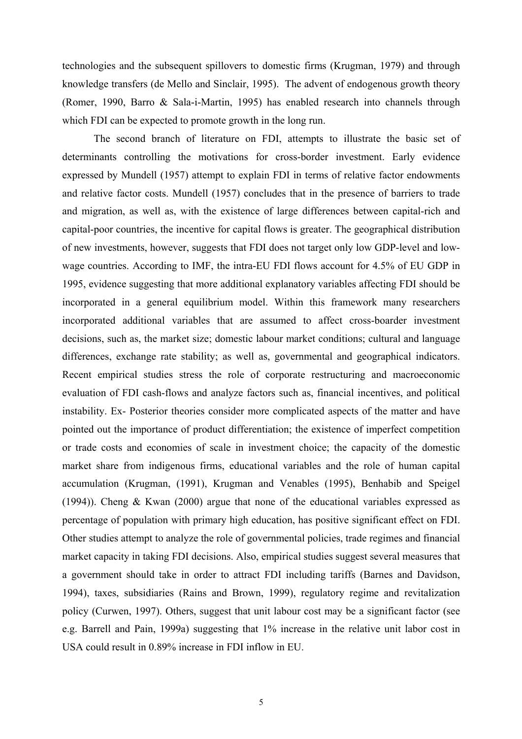technologies and the subsequent spillovers to domestic firms (Krugman, 1979) and through knowledge transfers (de Mello and Sinclair, 1995). The advent of endogenous growth theory (Romer, 1990, Barro & Sala-i-Martin, 1995) has enabled research into channels through which FDI can be expected to promote growth in the long run.

The second branch of literature on FDI, attempts to illustrate the basic set of determinants controlling the motivations for cross-border investment. Early evidence expressed by Mundell (1957) attempt to explain FDI in terms of relative factor endowments and relative factor costs. Mundell (1957) concludes that in the presence of barriers to trade and migration, as well as, with the existence of large differences between capital-rich and capital-poor countries, the incentive for capital flows is greater. The geographical distribution of new investments, however, suggests that FDI does not target only low GDP-level and lowwage countries. According to IMF, the intra-EU FDI flows account for 4.5% of EU GDP in 1995, evidence suggesting that more additional explanatory variables affecting FDI should be incorporated in a general equilibrium model. Within this framework many researchers incorporated additional variables that are assumed to affect cross-boarder investment decisions, such as, the market size; domestic labour market conditions; cultural and language differences, exchange rate stability; as well as, governmental and geographical indicators. Recent empirical studies stress the role of corporate restructuring and macroeconomic evaluation of FDI cash-flows and analyze factors such as, financial incentives, and political instability. Ex- Posterior theories consider more complicated aspects of the matter and have pointed out the importance of product differentiation; the existence of imperfect competition or trade costs and economies of scale in investment choice; the capacity of the domestic market share from indigenous firms, educational variables and the role of human capital accumulation (Krugman, (1991), Krugman and Venables (1995), Benhabib and Speigel (1994)). Cheng & Kwan (2000) argue that none of the educational variables expressed as percentage of population with primary high education, has positive significant effect on FDI. Other studies attempt to analyze the role of governmental policies, trade regimes and financial market capacity in taking FDI decisions. Also, empirical studies suggest several measures that a government should take in order to attract FDI including tariffs (Barnes and Davidson, 1994), taxes, subsidiaries (Rains and Brown, 1999), regulatory regime and revitalization policy (Curwen, 1997). Others, suggest that unit labour cost may be a significant factor (see e.g. Barrell and Pain, 1999a) suggesting that 1% increase in the relative unit labor cost in USA could result in 0.89% increase in FDI inflow in EU.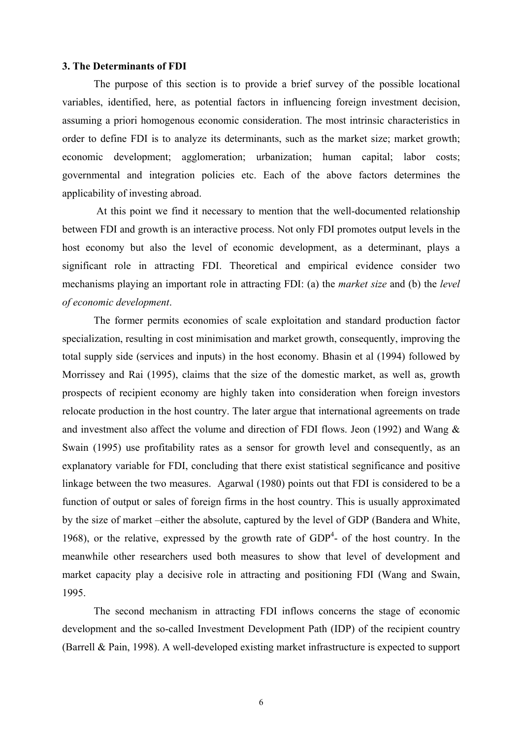#### **3. The Determinants of FDI**

The purpose of this section is to provide a brief survey of the possible locational variables, identified, here, as potential factors in influencing foreign investment decision, assuming a priori homogenous economic consideration. The most intrinsic characteristics in order to define FDI is to analyze its determinants, such as the market size; market growth; economic development; agglomeration; urbanization; human capital; labor costs; governmental and integration policies etc. Each of the above factors determines the applicability of investing abroad.

At this point we find it necessary to mention that the well-documented relationship between FDI and growth is an interactive process. Not only FDI promotes output levels in the host economy but also the level of economic development, as a determinant, plays a significant role in attracting FDI. Theoretical and empirical evidence consider two mechanisms playing an important role in attracting FDI: (a) the *market size* and (b) the *level of economic development*.

The former permits economies of scale exploitation and standard production factor specialization, resulting in cost minimisation and market growth, consequently, improving the total supply side (services and inputs) in the host economy. Bhasin et al (1994) followed by Morrissey and Rai (1995), claims that the size of the domestic market, as well as, growth prospects of recipient economy are highly taken into consideration when foreign investors relocate production in the host country. The later argue that international agreements on trade and investment also affect the volume and direction of FDI flows. Jeon (1992) and Wang & Swain (1995) use profitability rates as a sensor for growth level and consequently, as an explanatory variable for FDI, concluding that there exist statistical segnificance and positive linkage between the two measures. Agarwal (1980) points out that FDI is considered to be a function of output or sales of foreign firms in the host country. This is usually approximated by the size of market –either the absolute, captured by the level of GDP (Bandera and White, 1968), or the relative, expressed by the growth rate of  $GDP<sup>4</sup>$  $GDP<sup>4</sup>$  $GDP<sup>4</sup>$  of the host country. In the meanwhile other researchers used both measures to show that level of development and market capacity play a decisive role in attracting and positioning FDI (Wang and Swain, 1995.

<span id="page-7-0"></span>The second mechanism in attracting FDI inflows concerns the stage of economic development and the so-called Investment Development Path (IDP) of the recipient country (Barrell & Pain, 1998). A well-developed existing market infrastructure is expected to support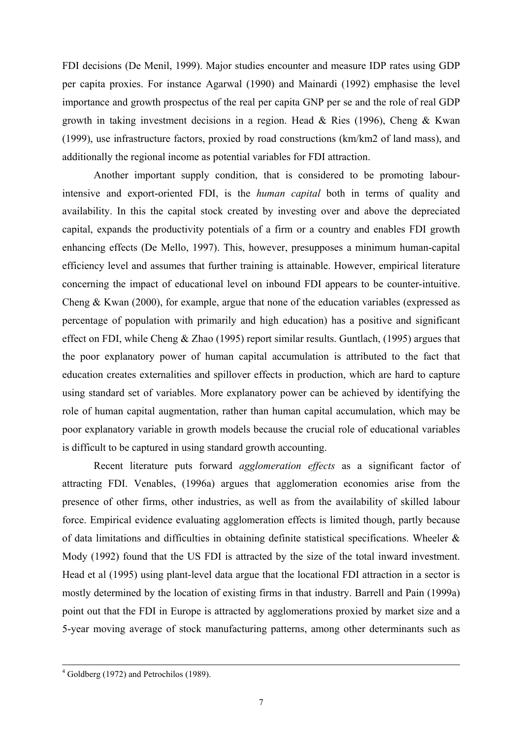FDI decisions (De Menil, 1999). Major studies encounter and measure IDP rates using GDP per capita proxies. For instance Agarwal (1990) and Mainardi (1992) emphasise the level importance and growth prospectus of the real per capita GNP per se and the role of real GDP growth in taking investment decisions in a region. Head & Ries (1996), Cheng & Kwan (1999), use infrastructure factors, proxied by road constructions (km/km2 of land mass), and additionally the regional income as potential variables for FDI attraction.

Another important supply condition, that is considered to be promoting labourintensive and export-oriented FDI, is the *human capital* both in terms of quality and availability. In this the capital stock created by investing over and above the depreciated capital, expands the productivity potentials of a firm or a country and enables FDI growth enhancing effects (De Mello, 1997). This, however, presupposes a minimum human-capital efficiency level and assumes that further training is attainable. However, empirical literature concerning the impact of educational level on inbound FDI appears to be counter-intuitive. Cheng & Kwan (2000), for example, argue that none of the education variables (expressed as percentage of population with primarily and high education) has a positive and significant effect on FDI, while Cheng & Zhao (1995) report similar results. Guntlach, (1995) argues that the poor explanatory power of human capital accumulation is attributed to the fact that education creates externalities and spillover effects in production, which are hard to capture using standard set of variables. More explanatory power can be achieved by identifying the role of human capital augmentation, rather than human capital accumulation, which may be poor explanatory variable in growth models because the crucial role of educational variables is difficult to be captured in using standard growth accounting.

Recent literature puts forward *agglomeration effects* as a significant factor of attracting FDI. Venables, (1996a) argues that agglomeration economies arise from the presence of other firms, other industries, as well as from the availability of skilled labour force. Empirical evidence evaluating agglomeration effects is limited though, partly because of data limitations and difficulties in obtaining definite statistical specifications. Wheeler & Mody (1992) found that the US FDI is attracted by the size of the total inward investment. Head et al (1995) using plant-level data argue that the locational FDI attraction in a sector is mostly determined by the location of existing firms in that industry. Barrell and Pain (1999a) point out that the FDI in Europe is attracted by agglomerations proxied by market size and a 5-year moving average of stock manufacturing patterns, among other determinants such as

 $\frac{1}{4}$ Goldberg (1972) and Petrochilos (1989).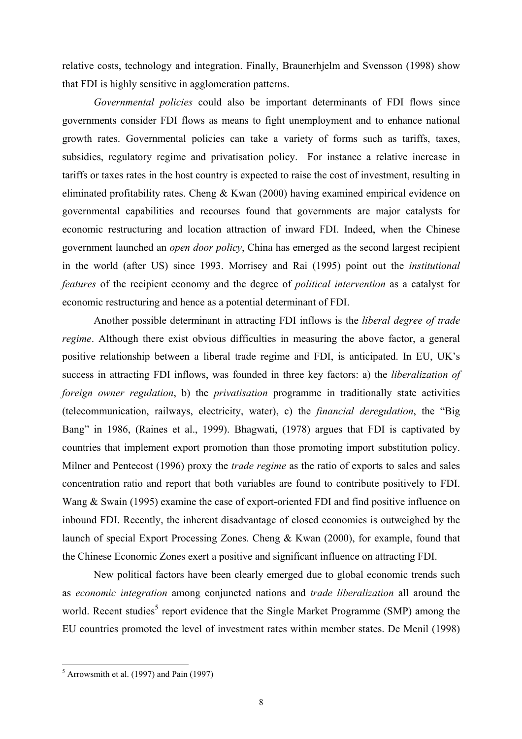relative costs, technology and integration. Finally, Braunerhjelm and Svensson (1998) show that FDI is highly sensitive in agglomeration patterns.

*Governmental policies* could also be important determinants of FDI flows since governments consider FDI flows as means to fight unemployment and to enhance national growth rates. Governmental policies can take a variety of forms such as tariffs, taxes, subsidies, regulatory regime and privatisation policy. For instance a relative increase in tariffs or taxes rates in the host country is expected to raise the cost of investment, resulting in eliminated profitability rates. Cheng & Kwan (2000) having examined empirical evidence on governmental capabilities and recourses found that governments are major catalysts for economic restructuring and location attraction of inward FDI. Indeed, when the Chinese government launched an *open door policy*, China has emerged as the second largest recipient in the world (after US) since 1993. Morrisey and Rai (1995) point out the *institutional features* of the recipient economy and the degree of *political intervention* as a catalyst for economic restructuring and hence as a potential determinant of FDI.

Another possible determinant in attracting FDI inflows is the *liberal degree of trade regime*. Although there exist obvious difficulties in measuring the above factor, a general positive relationship between a liberal trade regime and FDI, is anticipated. In EU, UK's success in attracting FDI inflows, was founded in three key factors: a) the *liberalization of foreign owner regulation*, b) the *privatisation* programme in traditionally state activities (telecommunication, railways, electricity, water), c) the *financial deregulation*, the "Big Bang" in 1986, (Raines et al., 1999). Bhagwati, (1978) argues that FDI is captivated by countries that implement export promotion than those promoting import substitution policy. Milner and Pentecost (1996) proxy the *trade regime* as the ratio of exports to sales and sales concentration ratio and report that both variables are found to contribute positively to FDI. Wang & Swain (1995) examine the case of export-oriented FDI and find positive influence on inbound FDI. Recently, the inherent disadvantage of closed economies is outweighed by the launch of special Export Processing Zones. Cheng & Kwan (2000), for example, found that the Chinese Economic Zones exert a positive and significant influence on attracting FDI.

New political factors have been clearly emerged due to global economic trends such as *economic integration* among conjuncted nations and *trade liberalization* all around the world. Recent studies<sup>[5](#page-9-0)</sup> report evidence that the Single Market Programme (SMP) among the EU countries promoted the level of investment rates within member states. De Menil (1998)

<span id="page-9-0"></span> <sup>5</sup>  $<sup>5</sup>$  Arrowsmith et al. (1997) and Pain (1997)</sup>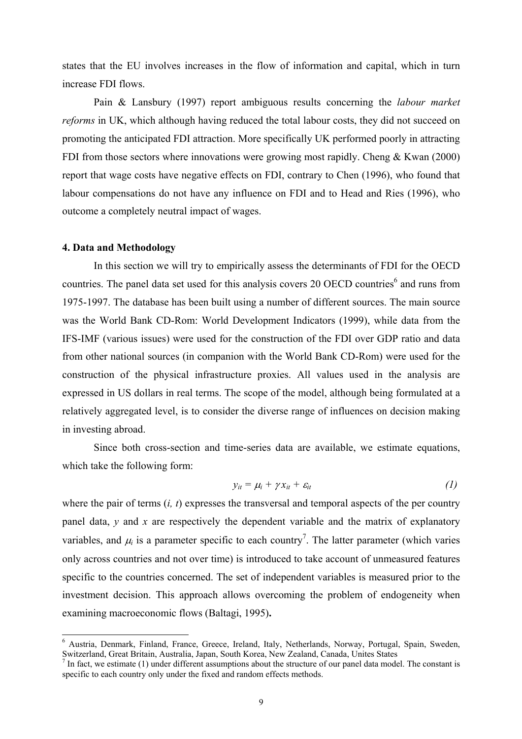states that the EU involves increases in the flow of information and capital, which in turn increase FDI flows.

Pain & Lansbury (1997) report ambiguous results concerning the *labour market reforms* in UK, which although having reduced the total labour costs, they did not succeed on promoting the anticipated FDI attraction. More specifically UK performed poorly in attracting FDI from those sectors where innovations were growing most rapidly. Cheng & Kwan (2000) report that wage costs have negative effects on FDI, contrary to Chen (1996), who found that labour compensations do not have any influence on FDI and to Head and Ries (1996), who outcome a completely neutral impact of wages.

#### **4. Data and Methodology**

In this section we will try to empirically assess the determinants of FDI for the OECD countries.The panel data set used for this analysis covers 20 OECD countries<sup>6</sup> and runs from 1975-1997. The database has been built using a number of different sources. The main source was the World Bank CD-Rom: World Development Indicators (1999), while data from the IFS-IMF (various issues) were used for the construction of the FDI over GDP ratio and data from other national sources (in companion with the World Bank CD-Rom) were used for the construction of the physical infrastructure proxies. All values used in the analysis are expressed in US dollars in real terms. The scope of the model, although being formulated at a relatively aggregated level, is to consider the diverse range of influences on decision making in investing abroad.

Since both cross-section and time-series data are available, we estimate equations, which take the following form:

$$
y_{it} = \mu_i + \gamma x_{it} + \varepsilon_{it} \tag{1}
$$

where the pair of terms (*i, t*) expresses the transversal and temporal aspects of the per country panel data, *y* and *x* are respectively the dependent variable and the matrix of explanatory variables, and  $\mu_i$  is a parameter specific to each country<sup>[7](#page-10-1)</sup>. The latter parameter (which varies only across countries and not over time) is introduced to take account of unmeasured features specific to the countries concerned. The set of independent variables is measured prior to the investment decision. This approach allows overcoming the problem of endogeneity when examining macroeconomic flows (Baltagi, 1995)**.**

<span id="page-10-0"></span> <sup>6</sup> Austria, Denmark, Finland, France, Greece, Ireland, Italy, Netherlands, Norway, Portugal, Spain, Sweden, Switzerland, Great Britain, Australia, Japan, South Korea, New Zealand, Canada, Unites States 7

<span id="page-10-1"></span> $<sup>7</sup>$  In fact, we estimate (1) under different assumptions about the structure of our panel data model. The constant is</sup> specific to each country only under the fixed and random effects methods.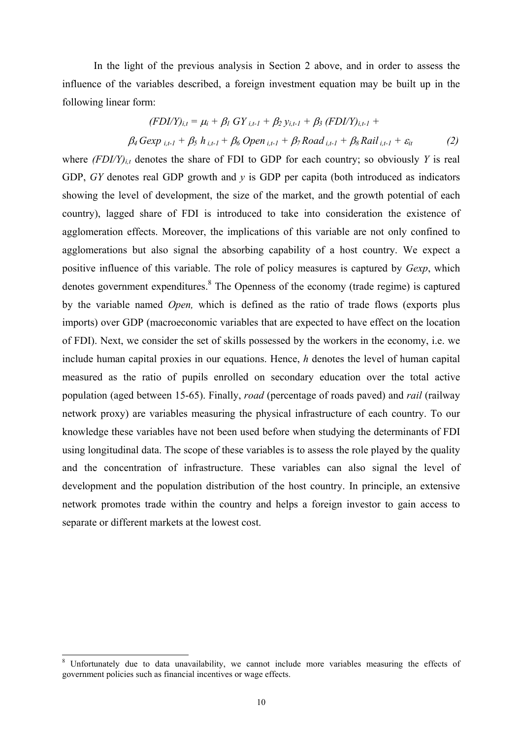In the light of the previous analysis in Section 2 above, and in order to assess the influence of the variables described, a foreign investment equation may be built up in the following linear form:

$$
(FDI/Y)_{i,t} = \mu_i + \beta_I \ GY_{i,t-1} + \beta_2 \ y_{i,t-1} + \beta_3 \ (FDI/Y)_{i,t-1} + \n\beta_4 Gexp_{i,t-1} + \beta_5 \ h_{i,t-1} + \beta_6 \ Open_{i,t-1} + \beta_7 Road_{i,t-1} + \beta_8 \ Rail_{i,t-1} + \varepsilon_{it}
$$
\n(2)

where  $(FDI/Y)_{it}$  denotes the share of FDI to GDP for each country; so obviously *Y* is real GDP, *GY* denotes real GDP growth and *y* is GDP per capita (both introduced as indicators showing the level of development, the size of the market, and the growth potential of each country), lagged share of FDI is introduced to take into consideration the existence of agglomeration effects. Moreover, the implications of this variable are not only confined to agglomerations but also signal the absorbing capability of a host country. We expect a positive influence of this variable. The role of policy measures is captured by *Gexp*, which denotes government expenditures. $8$  The Openness of the economy (trade regime) is captured by the variable named *Open,* which is defined as the ratio of trade flows (exports plus imports) over GDP (macroeconomic variables that are expected to have effect on the location of FDI). Next, we consider the set of skills possessed by the workers in the economy, i.e. we include human capital proxies in our equations. Hence, *h* denotes the level of human capital measured as the ratio of pupils enrolled on secondary education over the total active population (aged between 15-65). Finally, *road* (percentage of roads paved) and *rail* (railway network proxy) are variables measuring the physical infrastructure of each country. To our knowledge these variables have not been used before when studying the determinants of FDI using longitudinal data. The scope of these variables is to assess the role played by the quality and the concentration of infrastructure. These variables can also signal the level of development and the population distribution of the host country. In principle, an extensive network promotes trade within the country and helps a foreign investor to gain access to separate or different markets at the lowest cost.

<span id="page-11-0"></span> <sup>8</sup> <sup>8</sup> Unfortunately due to data unavailability, we cannot include more variables measuring the effects of government policies such as financial incentives or wage effects.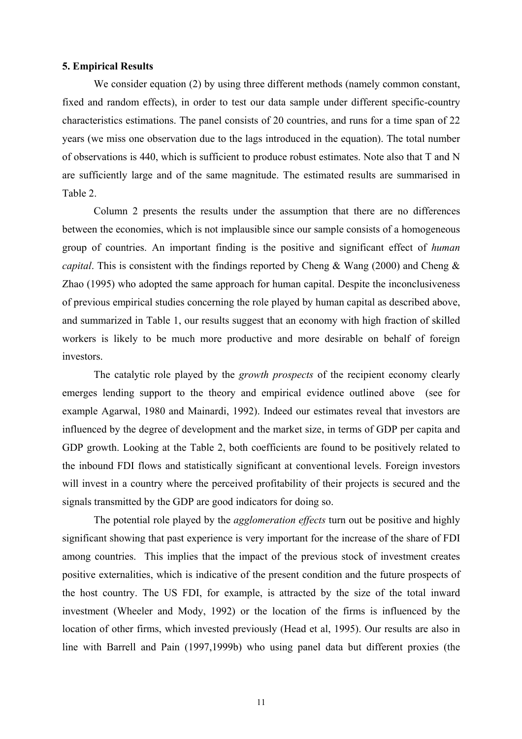#### **5. Empirical Results**

We consider equation (2) by using three different methods (namely common constant, fixed and random effects), in order to test our data sample under different specific-country characteristics estimations. The panel consists of 20 countries, and runs for a time span of 22 years (we miss one observation due to the lags introduced in the equation). The total number of observations is 440, which is sufficient to produce robust estimates. Note also that T and N are sufficiently large and of the same magnitude. The estimated results are summarised in Table 2.

Column 2 presents the results under the assumption that there are no differences between the economies, which is not implausible since our sample consists of a homogeneous group of countries. An important finding is the positive and significant effect of *human capital*. This is consistent with the findings reported by Cheng & Wang (2000) and Cheng & Zhao (1995) who adopted the same approach for human capital. Despite the inconclusiveness of previous empirical studies concerning the role played by human capital as described above, and summarized in Table 1, our results suggest that an economy with high fraction of skilled workers is likely to be much more productive and more desirable on behalf of foreign investors.

The catalytic role played by the *growth prospects* of the recipient economy clearly emerges lending support to the theory and empirical evidence outlined above (see for example Agarwal, 1980 and Mainardi, 1992). Indeed our estimates reveal that investors are influenced by the degree of development and the market size, in terms of GDP per capita and GDP growth. Looking at the Table 2, both coefficients are found to be positively related to the inbound FDI flows and statistically significant at conventional levels. Foreign investors will invest in a country where the perceived profitability of their projects is secured and the signals transmitted by the GDP are good indicators for doing so.

The potential role played by the *agglomeration effects* turn out be positive and highly significant showing that past experience is very important for the increase of the share of FDI among countries. This implies that the impact of the previous stock of investment creates positive externalities, which is indicative of the present condition and the future prospects of the host country. The US FDI, for example, is attracted by the size of the total inward investment (Wheeler and Mody, 1992) or the location of the firms is influenced by the location of other firms, which invested previously (Head et al, 1995). Our results are also in line with Barrell and Pain (1997,1999b) who using panel data but different proxies (the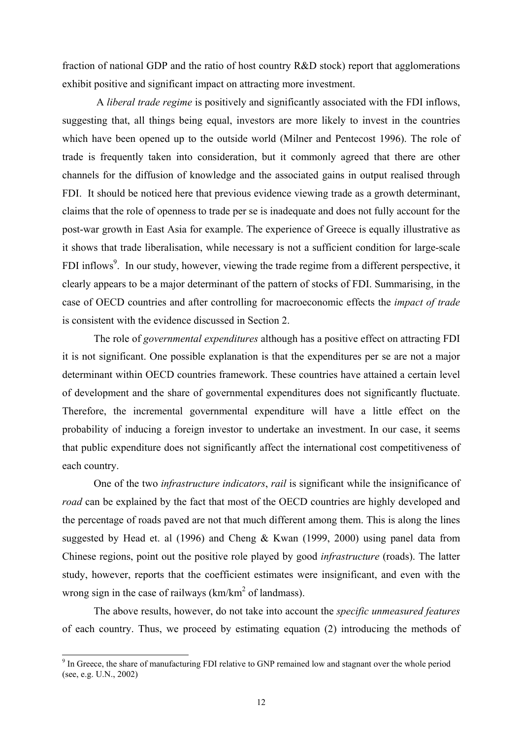fraction of national GDP and the ratio of host country R&D stock) report that agglomerations exhibit positive and significant impact on attracting more investment.

 A *liberal trade regime* is positively and significantly associated with the FDI inflows, suggesting that, all things being equal, investors are more likely to invest in the countries which have been opened up to the outside world (Milner and Pentecost 1996). The role of trade is frequently taken into consideration, but it commonly agreed that there are other channels for the diffusion of knowledge and the associated gains in output realised through FDI. It should be noticed here that previous evidence viewing trade as a growth determinant, claims that the role of openness to trade per se is inadequate and does not fully account for the post-war growth in East Asia for example. The experience of Greece is equally illustrative as it shows that trade liberalisation, while necessary is not a sufficient condition for large-scale FDI inflows<sup>[9](#page-13-0)</sup>. In our study, however, viewing the trade regime from a different perspective, it clearly appears to be a major determinant of the pattern of stocks of FDI. Summarising, in the case of OECD countries and after controlling for macroeconomic effects the *impact of trade* is consistent with the evidence discussed in Section 2.

The role of *governmental expenditures* although has a positive effect on attracting FDI it is not significant. One possible explanation is that the expenditures per se are not a major determinant within OECD countries framework. These countries have attained a certain level of development and the share of governmental expenditures does not significantly fluctuate. Therefore, the incremental governmental expenditure will have a little effect on the probability of inducing a foreign investor to undertake an investment. In our case, it seems that public expenditure does not significantly affect the international cost competitiveness of each country.

One of the two *infrastructure indicators*, *rail* is significant while the insignificance of *road* can be explained by the fact that most of the OECD countries are highly developed and the percentage of roads paved are not that much different among them. This is along the lines suggested by Head et. al (1996) and Cheng & Kwan (1999, 2000) using panel data from Chinese regions, point out the positive role played by good *infrastructure* (roads). The latter study, however, reports that the coefficient estimates were insignificant, and even with the wrong sign in the case of railways  $(km/km^2)$  of landmass).

The above results, however, do not take into account the *specific unmeasured features* of each country. Thus, we proceed by estimating equation (2) introducing the methods of

<span id="page-13-0"></span><sup>.&</sup>lt;br>9 <sup>9</sup> In Greece, the share of manufacturing FDI relative to GNP remained low and stagnant over the whole period (see, e.g. U.N., 2002)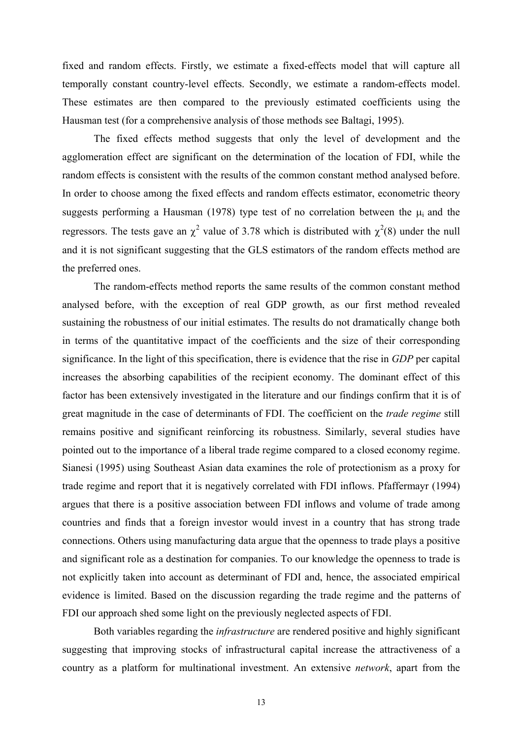fixed and random effects. Firstly, we estimate a fixed-effects model that will capture all temporally constant country-level effects. Secondly, we estimate a random-effects model. These estimates are then compared to the previously estimated coefficients using the Hausman test (for a comprehensive analysis of those methods see Baltagi, 1995).

The fixed effects method suggests that only the level of development and the agglomeration effect are significant on the determination of the location of FDI, while the random effects is consistent with the results of the common constant method analysed before. In order to choose among the fixed effects and random effects estimator, econometric theory suggests performing a Hausman (1978) type test of no correlation between the  $\mu_i$  and the regressors. The tests gave an  $\chi^2$  value of 3.78 which is distributed with  $\chi^2(8)$  under the null and it is not significant suggesting that the GLS estimators of the random effects method are the preferred ones.

The random-effects method reports the same results of the common constant method analysed before, with the exception of real GDP growth, as our first method revealed sustaining the robustness of our initial estimates. The results do not dramatically change both in terms of the quantitative impact of the coefficients and the size of their corresponding significance. In the light of this specification, there is evidence that the rise in *GDP* per capital increases the absorbing capabilities of the recipient economy. The dominant effect of this factor has been extensively investigated in the literature and our findings confirm that it is of great magnitude in the case of determinants of FDI. The coefficient on the *trade regime* still remains positive and significant reinforcing its robustness. Similarly, several studies have pointed out to the importance of a liberal trade regime compared to a closed economy regime. Sianesi (1995) using Southeast Asian data examines the role of protectionism as a proxy for trade regime and report that it is negatively correlated with FDI inflows. Pfaffermayr (1994) argues that there is a positive association between FDI inflows and volume of trade among countries and finds that a foreign investor would invest in a country that has strong trade connections. Others using manufacturing data argue that the openness to trade plays a positive and significant role as a destination for companies. To our knowledge the openness to trade is not explicitly taken into account as determinant of FDI and, hence, the associated empirical evidence is limited. Based on the discussion regarding the trade regime and the patterns of FDI our approach shed some light on the previously neglected aspects of FDI.

Both variables regarding the *infrastructure* are rendered positive and highly significant suggesting that improving stocks of infrastructural capital increase the attractiveness of a country as a platform for multinational investment. An extensive *network*, apart from the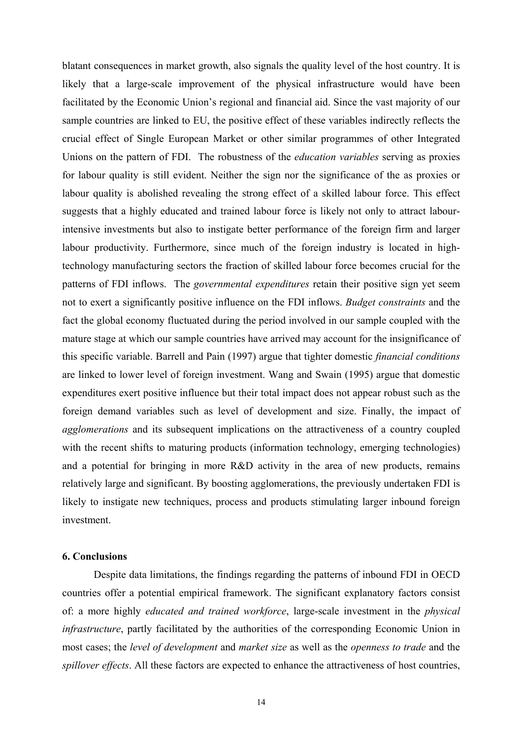blatant consequences in market growth, also signals the quality level of the host country. It is likely that a large-scale improvement of the physical infrastructure would have been facilitated by the Economic Union's regional and financial aid. Since the vast majority of our sample countries are linked to EU, the positive effect of these variables indirectly reflects the crucial effect of Single European Market or other similar programmes of other Integrated Unions on the pattern of FDI. The robustness of the *education variables* serving as proxies for labour quality is still evident. Neither the sign nor the significance of the as proxies or labour quality is abolished revealing the strong effect of a skilled labour force. This effect suggests that a highly educated and trained labour force is likely not only to attract labourintensive investments but also to instigate better performance of the foreign firm and larger labour productivity. Furthermore, since much of the foreign industry is located in hightechnology manufacturing sectors the fraction of skilled labour force becomes crucial for the patterns of FDI inflows. The *governmental expenditures* retain their positive sign yet seem not to exert a significantly positive influence on the FDI inflows. *Budget constraints* and the fact the global economy fluctuated during the period involved in our sample coupled with the mature stage at which our sample countries have arrived may account for the insignificance of this specific variable. Barrell and Pain (1997) argue that tighter domestic *financial conditions* are linked to lower level of foreign investment. Wang and Swain (1995) argue that domestic expenditures exert positive influence but their total impact does not appear robust such as the foreign demand variables such as level of development and size. Finally, the impact of *agglomerations* and its subsequent implications on the attractiveness of a country coupled with the recent shifts to maturing products (information technology, emerging technologies) and a potential for bringing in more R&D activity in the area of new products, remains relatively large and significant. By boosting agglomerations, the previously undertaken FDI is likely to instigate new techniques, process and products stimulating larger inbound foreign investment.

#### **6. Conclusions**

Despite data limitations, the findings regarding the patterns of inbound FDI in OECD countries offer a potential empirical framework. The significant explanatory factors consist of: a more highly *educated and trained workforce*, large-scale investment in the *physical infrastructure*, partly facilitated by the authorities of the corresponding Economic Union in most cases; the *level of development* and *market size* as well as the *openness to trade* and the *spillover effects*. All these factors are expected to enhance the attractiveness of host countries,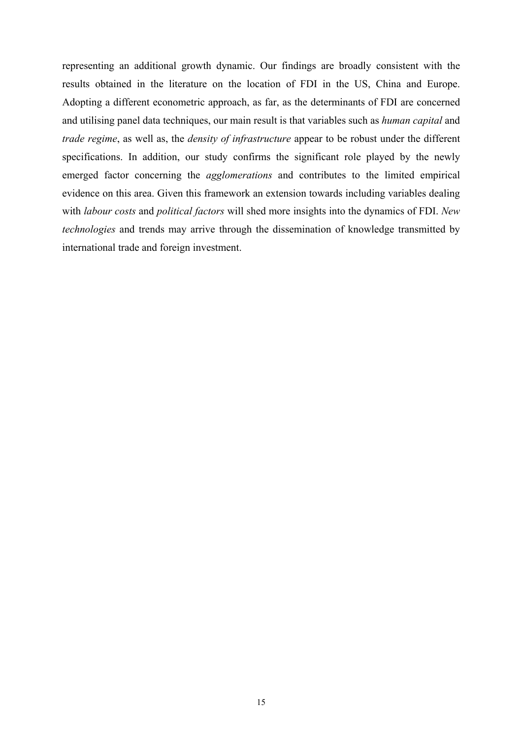representing an additional growth dynamic. Our findings are broadly consistent with the results obtained in the literature on the location of FDI in the US, China and Europe. Adopting a different econometric approach, as far, as the determinants of FDI are concerned and utilising panel data techniques, our main result is that variables such as *human capital* and *trade regime*, as well as, the *density of infrastructure* appear to be robust under the different specifications. In addition, our study confirms the significant role played by the newly emerged factor concerning the *agglomerations* and contributes to the limited empirical evidence on this area. Given this framework an extension towards including variables dealing with *labour costs* and *political factors* will shed more insights into the dynamics of FDI. *New technologies* and trends may arrive through the dissemination of knowledge transmitted by international trade and foreign investment.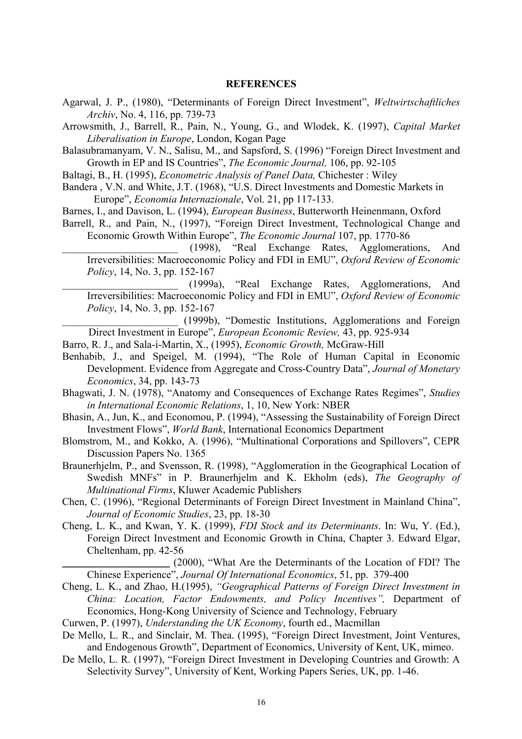#### **REFERENCES**

- Agarwal, J. P., (1980), "Determinants of Foreign Direct Investment", *Weltwirtschaftliches Archiv*, No. 4, 116, pp. 739-73
- Arrowsmith, J., Barrell, R., Pain, N., Young, G., and Wlodek, K. (1997), *Capital Market Liberalisation in Europe*, London, Kogan Page
- Balasubramanyam, V. N., Salisu, M., and Sapsford, S. (1996) "Foreign Direct Investment and Growth in EP and IS Countries", *The Economic Journal,* 106, pp. 92-105
- Baltagi, B., H. (1995), *Econometric Analysis of Panel Data,* Chichester : Wiley
- Bandera , V.N. and White, J.T. (1968), "U.S. Direct Investments and Domestic Markets in Europe", *Economia Internazionale*, Vol. 21, pp 117-133.
- Barnes, I., and Davison, L. (1994), *European Business*, Butterworth Heinenmann, Oxford
- Barrell, R., and Pain, N., (1997), "Foreign Direct Investment, Technological Change and Economic Growth Within Europe", *The Economic Journal* 107, pp. 1770-86

\_\_\_\_\_\_\_\_\_\_\_\_\_\_\_\_\_\_\_\_\_\_ (1998), "Real Exchange Rates, Agglomerations, And Irreversibilities: Macroeconomic Policy and FDI in EMU", *Oxford Review of Economic Policy*, 14, No. 3, pp. 152-167

\_\_\_\_\_\_\_\_\_\_\_\_\_\_\_\_\_\_\_\_\_\_ (1999a), "Real Exchange Rates, Agglomerations, And Irreversibilities: Macroeconomic Policy and FDI in EMU", *Oxford Review of Economic Policy*, 14, No. 3, pp. 152-167

\_\_\_\_\_\_\_\_\_\_\_\_\_\_\_\_\_\_\_\_\_\_ (1999b), "Domestic Institutions, Agglomerations and Foreign Direct Investment in Europe", *European Economic Review,* 43, pp. 925-934

- Barro, R. J., and Sala-i-Martin, X., (1995), *Economic Growth,* McGraw-Hill
- Benhabib, J., and Speigel, M. (1994), "The Role of Human Capital in Economic Development. Evidence from Aggregate and Cross-Country Data", *Journal of Monetary Economics*, 34, pp. 143-73
- Bhagwati, J. N. (1978), "Anatomy and Consequences of Exchange Rates Regimes", *Studies in International Economic Relations*, 1, 10, New York: NBER
- Bhasin, A., Jun, K., and Economou, P. (1994), "Assessing the Sustainability of Foreign Direct Investment Flows", *World Bank*, International Economics Department
- Blomstrom, M., and Kokko, A. (1996), "Multinational Corporations and Spillovers", CEPR Discussion Papers No. 1365
- Braunerhjelm, P., and Svensson, R. (1998), "Agglomeration in the Geographical Location of Swedish MNFs" in P. Braunerhjelm and K. Ekholm (eds), *The Geography of Multinational Firms*, Kluwer Academic Publishers
- Chen, C. (1996), "Regional Determinants of Foreign Direct Investment in Mainland China", *Journal of Economic Studies*, 23, pp. 18-30
- Cheng, L. K., and Kwan, Y. K. (1999), *FDI Stock and its Determinants*. In: Wu, Y. (Ed.), Foreign Direct Investment and Economic Growth in China, Chapter 3. Edward Elgar, Cheltenham, pp. 42-56

(2000), "What Are the Determinants of the Location of FDI? The Chinese Experience", *Journal Of International Economics*, 51, pp. 379-400

- Cheng, L. K., and Zhao, H.(1995), *"Geographical Patterns of Foreign Direct Investment in China: Location, Factor Endowments, and Policy Incentives",* Department of Economics, Hong-Kong University of Science and Technology, February
- Curwen, P. (1997), *Understanding the UK Economy*, fourth ed., Macmillan
- De Mello, L. R., and Sinclair, M. Thea. (1995), "Foreign Direct Investment, Joint Ventures, and Endogenous Growth", Department of Economics, University of Kent, UK, mimeo.
- De Mello, L. R. (1997), "Foreign Direct Investment in Developing Countries and Growth: A Selectivity Survey", University of Kent, Working Papers Series, UK, pp. 1-46.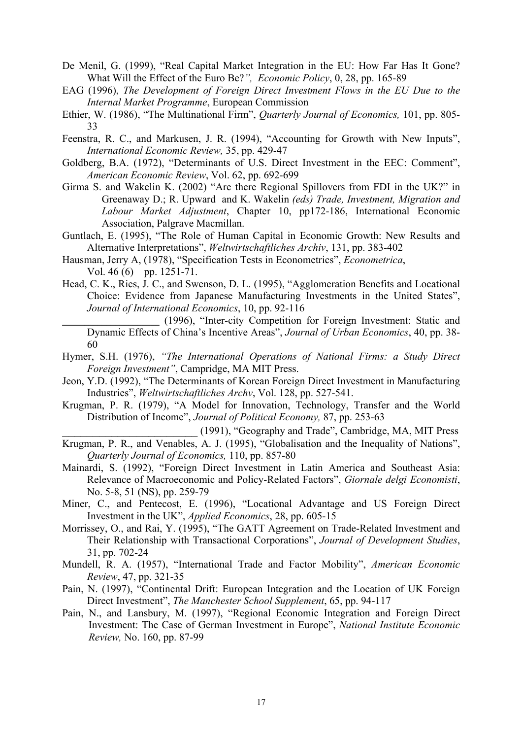- De Menil, G. (1999), "Real Capital Market Integration in the EU: How Far Has It Gone? What Will the Effect of the Euro Be?*", Economic Policy*, 0, 28, pp. 165-89
- EAG (1996), *The Development of Foreign Direct Investment Flows in the EU Due to the Internal Market Programme*, European Commission
- Ethier, W. (1986), "The Multinational Firm", *Quarterly Journal of Economics,* 101, pp. 805- 33
- Feenstra, R. C., and Markusen, J. R. (1994), "Accounting for Growth with New Inputs", *International Economic Review,* 35, pp. 429-47
- Goldberg, B.A. (1972), "Determinants of U.S. Direct Investment in the EEC: Comment", *American Economic Review*, Vol. 62, pp. 692-699
- Girma S. and Wakelin K. (2002) "Are there Regional Spillovers from FDI in the UK?" in Greenaway D.; R. Upward and K. Wakelin *(eds) Trade, Investment, Migration and Labour Market Adjustment*, Chapter 10, pp172-186, International Economic Association, Palgrave Macmillan.
- Guntlach, E. (1995), "The Role of Human Capital in Economic Growth: New Results and Alternative Interpretations", *Weltwirtschaftliches Archiv*, 131, pp. 383-402
- Hausman, Jerry A, (1978), "Specification Tests in Econometrics", *Econometrica*, Vol. 46 (6) pp. 1251-71.
- Head, C. K., Ries, J. C., and Swenson, D. L. (1995), "Agglomeration Benefits and Locational Choice: Evidence from Japanese Manufacturing Investments in the United States", *Journal of International Economics*, 10, pp. 92-116
	- **\_\_\_\_\_\_\_\_\_\_\_\_\_\_\_\_\_\_\_\_\_\_** (1996), "Inter-city Competition for Foreign Investment: Static and Dynamic Effects of China's Incentive Areas", *Journal of Urban Economics*, 40, pp. 38- 60
- Hymer, S.H. (1976), *"The International Operations of National Firms: a Study Direct Foreign Investment"*, Campridge, MA MIT Press.
- Jeon, Y.D. (1992), "The Determinants of Korean Foreign Direct Investment in Manufacturing Industries", *Weltwirtschaftliches Archv*, Vol. 128, pp. 527-541.
- Krugman, P. R. (1979), "A Model for Innovation, Technology, Transfer and the World Distribution of Income", *Journal of Political Economy,* 87, pp. 253-63

\_\_\_\_\_\_\_\_\_\_\_\_\_\_\_\_\_\_\_\_\_\_ (1991), "Geography and Trade", Cambridge, MA, MIT Press Krugman, P. R., and Venables, A. J. (1995), "Globalisation and the Inequality of Nations", *Quarterly Journal of Economics,* 110, pp. 857-80

- Mainardi, S. (1992), "Foreign Direct Investment in Latin America and Southeast Asia: Relevance of Macroeconomic and Policy-Related Factors", *Giornale delgi Economisti*, No. 5-8, 51 (NS), pp. 259-79
- Miner, C., and Pentecost, E. (1996), "Locational Advantage and US Foreign Direct Investment in the UK", *Applied Economics*, 28, pp. 605-15
- Morrissey, O., and Rai, Y. (1995), "The GATT Agreement on Trade-Related Investment and Their Relationship with Transactional Corporations", *Journal of Development Studies*, 31, pp. 702-24
- Mundell, R. A. (1957), "International Trade and Factor Mobility", *American Economic Review*, 47, pp. 321-35
- Pain, N. (1997), "Continental Drift: European Integration and the Location of UK Foreign Direct Investment", *The Manchester School Supplement*, 65, pp. 94-117
- Pain, N., and Lansbury, M. (1997), "Regional Economic Integration and Foreign Direct Investment: The Case of German Investment in Europe", *National Institute Economic Review,* No. 160, pp. 87-99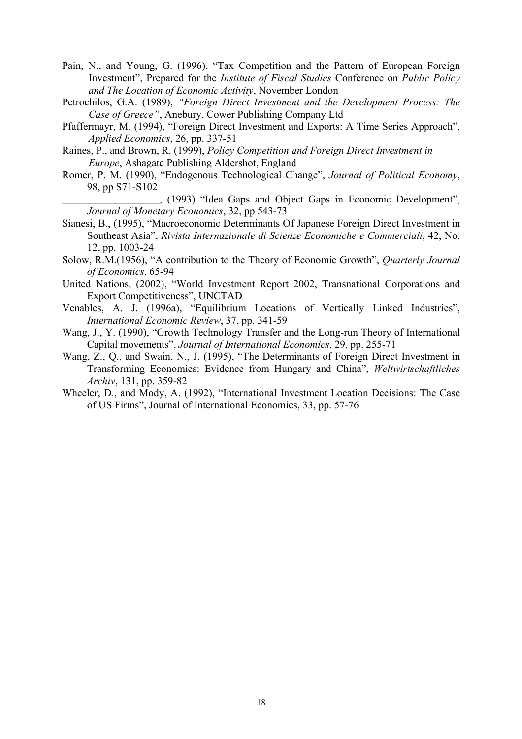- Pain, N., and Young, G. (1996), "Tax Competition and the Pattern of European Foreign Investment", Prepared for the *Institute of Fiscal Studies* Conference on *Public Policy and The Location of Economic Activity*, November London
- Petrochilos, G.A. (1989), *"Foreign Direct Investment and the Development Process: The Case of Greece"*, Anebury, Cower Publishing Company Ltd
- Pfaffermayr, M. (1994), "Foreign Direct Investment and Exports: A Time Series Approach", *Applied Economics*, 26, pp. 337-51
- Raines, P., and Brown, R. (1999), *Policy Competition and Foreign Direct Investment in Europe*, Ashagate Publishing Aldershot, England
- Romer, P. M. (1990), "Endogenous Technological Change", *Journal of Political Economy*, 98, pp S71-S102
	- **\_\_\_\_\_\_\_\_\_\_\_\_\_\_\_\_\_\_\_\_\_\_**, (1993) "Idea Gaps and Object Gaps in Economic Development", *Journal of Monetary Economics*, 32, pp 543-73
- Sianesi, B., (1995), "Macroeconomic Determinants Of Japanese Foreign Direct Investment in Southeast Asia", *Rivista Internazionale di Scienze Economiche e Commerciali*, 42, No. 12, pp. 1003-24
- Solow, R.M.(1956), "A contribution to the Theory of Economic Growth", *Quarterly Journal of Economics*, 65-94
- United Nations, (2002), "World Investment Report 2002, Transnational Corporations and Export Competitiveness", UNCTAD
- Venables, A. J. (1996a), "Equilibrium Locations of Vertically Linked Industries", *International Economic Review*, 37, pp. 341-59
- Wang, J., Y. (1990), "Growth Technology Transfer and the Long-run Theory of International Capital movements", *Journal of International Economics*, 29, pp. 255-71
- Wang, Z., Q., and Swain, N., J. (1995), "The Determinants of Foreign Direct Investment in Transforming Economies: Evidence from Hungary and China", *Weltwirtschaftliches Archiv*, 131, pp. 359-82
- Wheeler, D., and Mody, A. (1992), "International Investment Location Decisions: The Case of US Firms", Journal of International Economics, 33, pp. 57-76